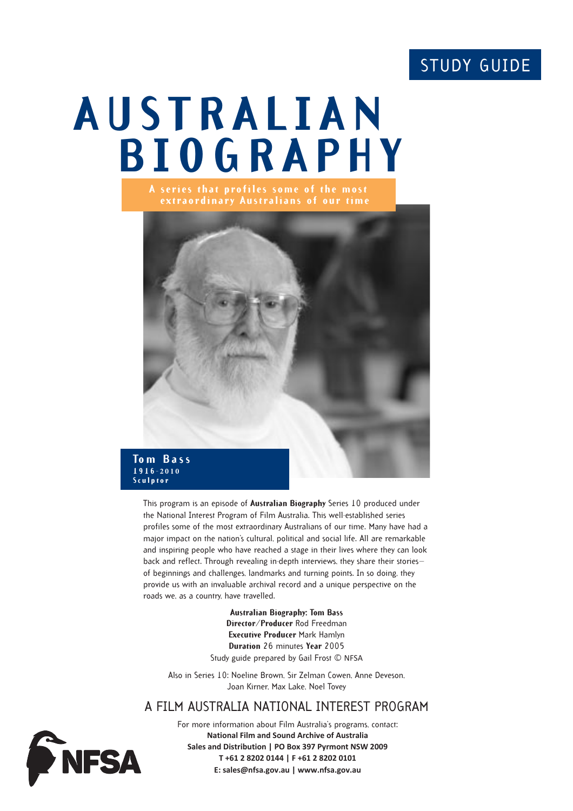# STUDY GUIDE

# **AUSTRALIAN BIOGRAPHY**



This program is an episode of **Australian Biography** Series 10 produced under the National Interest Program of Film Australia. This well-established series profiles some of the most extraordinary Australians of our time. Many have had a major impact on the nation's cultural, political and social life. All are remarkable and inspiring people who have reached a stage in their lives where they can look back and reflect. Through revealing in-depth interviews, they share their stories of beginnings and challenges, landmarks and turning points. In so doing, they provide us with an invaluable archival record and a unique perspective on the roads we, as a country, have travelled.

> **Australian Biography: Tom Bass Director/Producer** Rod Freedman **Executive Producer** Mark Hamlyn **Duration** 26 minutes **Year** 2005 Study guide prepared by Gail Frost © NFSA

Also in Series 10: Noeline Brown, Sir Zelman Cowen, Anne Deveson, Joan Kirner, Max Lake, Noel Tovey

# A FILM AUSTRALIA NATIONAL INTEREST PROGRAM



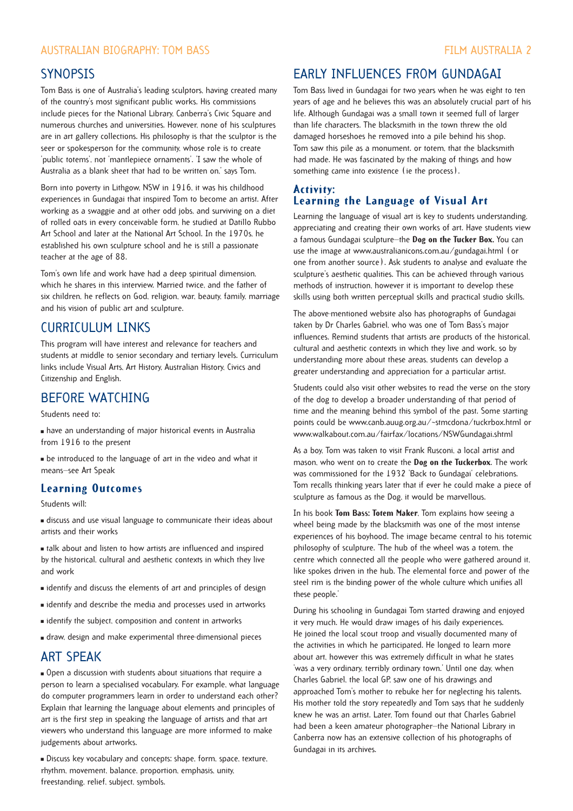#### AUSTRALIAN BIOGRAPHY: TOM BASS FILM AUSTRALIA 2

## **SYNOPSIS**

Tom Bass is one of Australia's leading sculptors, having created many of the country's most significant public works. His commissions include pieces for the National Library, Canberra's Civic Square and numerous churches and universities. However, none of his sculptures are in art gallery collections. His philosophy is that the sculptor is the seer or spokesperson for the community, whose role is to create 'public totems', not 'mantlepiece ornaments'. 'I saw the whole of Australia as a blank sheet that had to be written on,' says Tom.

Born into poverty in Lithgow, NSW in 1916, it was his childhood experiences in Gundagai that inspired Tom to become an artist. After working as a swaggie and at other odd jobs, and surviving on a diet of rolled oats in every conceivable form, he studied at Datillo Rubbo Art School and later at the National Art School. In the 1970s, he established his own sculpture school and he is still a passionate teacher at the age of 88.

Tom's own life and work have had a deep spiritual dimension, which he shares in this interview. Married twice, and the father of six children, he reflects on God, religion, war, beauty, family, marriage and his vision of public art and sculpture.

# CURRICULUM LINKS

This program will have interest and relevance for teachers and students at middle to senior secondary and tertiary levels. Curriculum links include Visual Arts, Art History, Australian History, Civics and Citizenship and English.

## BEFORE WATCHING

Students need to:

" have an understanding of major historical events in Australia from 1916 to the present

" be introduced to the language of art in the video and what it means—see Art Speak

#### **Learning Outcomes**

Students will:

" discuss and use visual language to communicate their ideas about artists and their works

" talk about and listen to how artists are influenced and inspired by the historical, cultural and aesthetic contexts in which they live and work

- $\blacksquare$  identify and discuss the elements of art and principles of design
- $\blacksquare$  identify and describe the media and processes used in artworks
- $\blacksquare$  identify the subject, composition and content in artworks
- " draw, design and make experimental three-dimensional pieces

#### ART SPEAK

" Open a discussion with students about situations that require a person to learn a specialised vocabulary. For example, what language do computer programmers learn in order to understand each other? Explain that learning the language about elements and principles of art is the first step in speaking the language of artists and that art viewers who understand this language are more informed to make judgements about artworks.

" Discuss key vocabulary and concepts: shape, form, space, texture, rhythm, movement, balance, proportion, emphasis, unity, freestanding, relief, subject, symbols.

# EARLY INFLUENCES FROM GUNDAGAI

Tom Bass lived in Gundagai for two years when he was eight to ten years of age and he believes this was an absolutely crucial part of his life. Although Gundagai was a small town it seemed full of larger than life characters. The blacksmith in the town threw the old damaged horseshoes he removed into a pile behind his shop. Tom saw this pile as a monument. or totem, that the blacksmith had made. He was fascinated by the making of things and how something came into existence (ie the process).

### **Activity: Learning the Language of Visual Art**

Learning the language of visual art is key to students understanding, appreciating and creating their own works of art. Have students view a famous Gundagai sculpture—the **Dog on the Tucker Box.** You can use the image at www.australianicons.com.au/gundagai.html (or one from another source). Ask students to analyse and evaluate the sculpture's aesthetic qualities. This can be achieved through various methods of instruction, however it is important to develop these skills using both written perceptual skills and practical studio skills.

The above-mentioned website also has photographs of Gundagai taken by Dr Charles Gabriel, who was one of Tom Bass's major influences. Remind students that artists are products of the historical, cultural and aesthetic contexts in which they live and work, so by understanding more about these areas, students can develop a greater understanding and appreciation for a particular artist.

Students could also visit other websites to read the verse on the story of the dog to develop a broader understanding of that period of time and the meaning behind this symbol of the past. Some starting points could be www.canb.auug.org.au/~stmcdona/tuckrbox.html or www.walkabout.com.au/fairfax/locations/NSWGundagai.shtml

As a boy, Tom was taken to visit Frank Rusconi, a local artist and mason, who went on to create the **Dog on the Tuckerbox**. The work was commissioned for the 1932 'Back to Gundagai' celebrations. Tom recalls thinking years later that if ever he could make a piece of sculpture as famous as the Dog, it would be marvellous.

In his book **Tom Bass: Totem Maker**, Tom explains how seeing a wheel being made by the blacksmith was one of the most intense experiences of his boyhood. The image became central to his totemic philosophy of sculpture. 'The hub of the wheel was a totem, the centre which connected all the people who were gathered around it, like spokes driven in the hub. The elemental force and power of the steel rim is the binding power of the whole culture which unifies all these people.'

During his schooling in Gundagai Tom started drawing and enjoyed it very much. He would draw images of his daily experiences. He joined the local scout troop and visually documented many of the activities in which he participated. He longed to learn more about art, however this was extremely difficult in what he states 'was a very ordinary, terribly ordinary town.' Until one day, when Charles Gabriel, the local GP, saw one of his drawings and approached Tom's mother to rebuke her for neglecting his talents. His mother told the story repeatedly and Tom says that he suddenly knew he was an artist. Later, Tom found out that Charles Gabriel had been a keen amateur photographer—the National Library in Canberra now has an extensive collection of his photographs of Gundagai in its archives.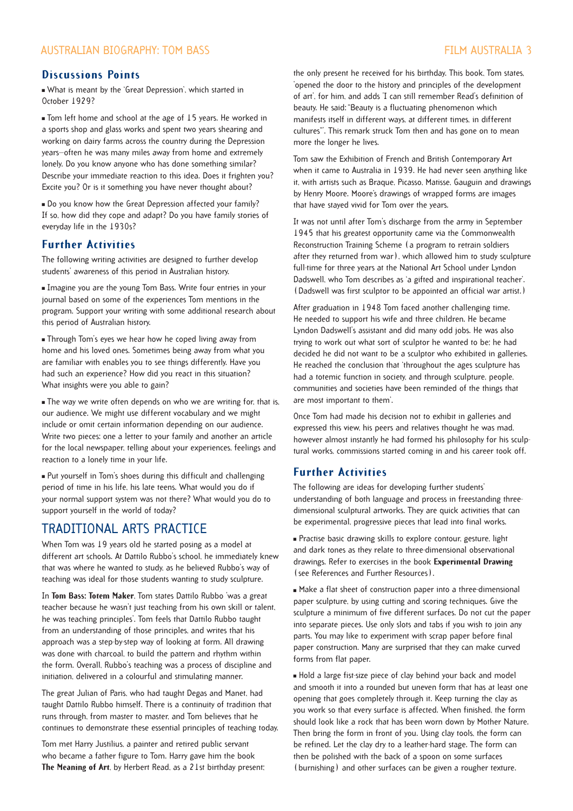#### **Discussions Points**

" What is meant by the 'Great Depression', which started in October 1929?

Tom left home and school at the age of 15 years. He worked in a sports shop and glass works and spent two years shearing and working on dairy farms across the country during the Depression years—often he was many miles away from home and extremely lonely. Do you know anyone who has done something similar? Describe your immediate reaction to this idea. Does it frighten you? Excite you? Or is it something you have never thought about?

Do you know how the Great Depression affected your family? If so, how did they cope and adapt? Do you have family stories of everyday life in the 1930s?

#### **Further Activities**

The following writing activities are designed to further develop students' awareness of this period in Australian history.

 $\blacksquare$  Imagine you are the young Tom Bass. Write four entries in your journal based on some of the experiences Tom mentions in the program. Support your writing with some additional research about this period of Australian history.

**Through Tom's eyes we hear how he coped living away from** home and his loved ones. Sometimes being away from what you are familiar with enables you to see things differently. Have you had such an experience? How did you react in this situation? What insights were you able to gain?

The way we write often depends on who we are writing for, that is, our audience. We might use different vocabulary and we might include or omit certain information depending on our audience. Write two pieces: one a letter to your family and another an article for the local newspaper, telling about your experiences, feelings and reaction to a lonely time in your life.

" Put yourself in Tom's shoes during this difficult and challenging period of time in his life, his late teens. What would you do if your normal support system was not there? What would you do to support yourself in the world of today?

# TRADITIONAL ARTS PRACTICE

When Tom was 19 years old he started posing as a model at different art schools. At Dattilo Rubbo's school, he immediately knew that was where he wanted to study, as he believed Rubbo's way of teaching was ideal for those students wanting to study sculpture.

In **Tom Bass: Totem Maker**, Tom states Dattilo Rubbo 'was a great teacher because he wasn't just teaching from his own skill or talent, he was teaching principles'. Tom feels that Dattilo Rubbo taught from an understanding of those principles, and writes that his approach was a step-by-step way of looking at form. All drawing was done with charcoal, to build the pattern and rhythm within the form. Overall, Rubbo's teaching was a process of discipline and initiation, delivered in a colourful and stimulating manner.

The great Julian of Paris, who had taught Degas and Manet, had taught Dattilo Rubbo himself. There is a continuity of tradition that runs through, from master to master, and Tom believes that he continues to demonstrate these essential principles of teaching today.

Tom met Harry Justilius, a painter and retired public servant who became a father figure to Tom. Harry gave him the book **The Meaning of Art**, by Herbert Read, as a 21st birthday present;

the only present he received for his birthday. This book, Tom states, 'opened the door to the history and principles of the development of art', for him, and adds 'I can still remember Read's definition of beauty. He said: "Beauty is a fluctuating phenomenon which manifests itself in different ways, at different times, in different cultures"'. This remark struck Tom then and has gone on to mean more the longer he lives.

Tom saw the Exhibition of French and British Contemporary Art when it came to Australia in 1939. He had never seen anything like it, with artists such as Braque, Picasso, Matisse, Gauguin and drawings by Henry Moore. Moore's drawings of wrapped forms are images that have stayed vivid for Tom over the years.

It was not until after Tom's discharge from the army in September 1945 that his greatest opportunity came via the Commonwealth Reconstruction Training Scheme (a program to retrain soldiers after they returned from war), which allowed him to study sculpture full-time for three years at the National Art School under Lyndon Dadswell, who Tom describes as 'a gifted and inspirational teacher'. (Dadswell was first sculptor to be appointed an official war artist.)

After graduation in 1948 Tom faced another challenging time. He needed to support his wife and three children. He became Lyndon Dadswell's assistant and did many odd jobs. He was also trying to work out what sort of sculptor he wanted to be; he had decided he did not want to be a sculptor who exhibited in galleries. He reached the conclusion that 'throughout the ages sculpture has had a totemic function in society, and through sculpture, people, communities and societies have been reminded of the things that are most important to them'.

Once Tom had made his decision not to exhibit in galleries and expressed this view, his peers and relatives thought he was mad, however almost instantly he had formed his philosophy for his sculptural works, commissions started coming in and his career took off.

### **Further Activities**

The following are ideas for developing further students' understanding of both language and process in freestanding threedimensional sculptural artworks. They are quick activities that can be experimental, progressive pieces that lead into final works.

" Practise basic drawing skills to explore contour, gesture, light and dark tones as they relate to three-dimensional observational drawings. Refer to exercises in the book **Experimental Drawing** (see References and Further Resources).

" Make a flat sheet of construction paper into a three-dimensional paper sculpture, by using cutting and scoring techniques. Give the sculpture a minimum of five different surfaces. Do not cut the paper into separate pieces. Use only slots and tabs if you wish to join any parts. You may like to experiment with scrap paper before final paper construction. Many are surprised that they can make curved forms from flat paper.

" Hold a large fist-size piece of clay behind your back and model and smooth it into a rounded but uneven form that has at least one opening that goes completely through it. Keep turning the clay as you work so that every surface is affected. When finished, the form should look like a rock that has been worn down by Mother Nature. Then bring the form in front of you. Using clay tools, the form can be refined. Let the clay dry to a leather-hard stage. The form can then be polished with the back of a spoon on some surfaces (burnishing) and other surfaces can be given a rougher texture.